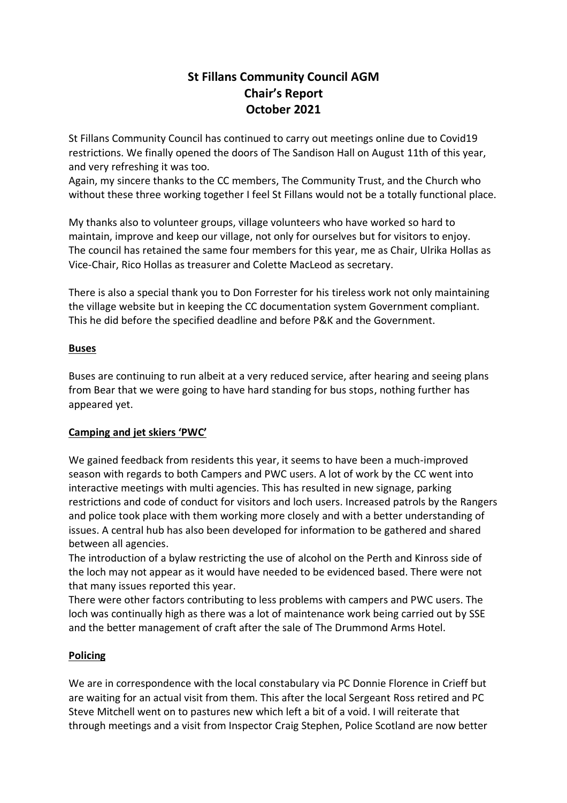# **St Fillans Community Council AGM Chair's Report October 2021**

St Fillans Community Council has continued to carry out meetings online due to Covid19 restrictions. We finally opened the doors of The Sandison Hall on August 11th of this year, and very refreshing it was too.

Again, my sincere thanks to the CC members, The Community Trust, and the Church who without these three working together I feel St Fillans would not be a totally functional place.

My thanks also to volunteer groups, village volunteers who have worked so hard to maintain, improve and keep our village, not only for ourselves but for visitors to enjoy. The council has retained the same four members for this year, me as Chair, Ulrika Hollas as Vice-Chair, Rico Hollas as treasurer and Colette MacLeod as secretary.

There is also a special thank you to Don Forrester for his tireless work not only maintaining the village website but in keeping the CC documentation system Government compliant. This he did before the specified deadline and before P&K and the Government.

# **Buses**

Buses are continuing to run albeit at a very reduced service, after hearing and seeing plans from Bear that we were going to have hard standing for bus stops, nothing further has appeared yet.

# **Camping and jet skiers 'PWC'**

We gained feedback from residents this year, it seems to have been a much-improved season with regards to both Campers and PWC users. A lot of work by the CC went into interactive meetings with multi agencies. This has resulted in new signage, parking restrictions and code of conduct for visitors and loch users. Increased patrols by the Rangers and police took place with them working more closely and with a better understanding of issues. A central hub has also been developed for information to be gathered and shared between all agencies.

The introduction of a bylaw restricting the use of alcohol on the Perth and Kinross side of the loch may not appear as it would have needed to be evidenced based. There were not that many issues reported this year.

There were other factors contributing to less problems with campers and PWC users. The loch was continually high as there was a lot of maintenance work being carried out by SSE and the better management of craft after the sale of The Drummond Arms Hotel.

# **Policing**

We are in correspondence with the local constabulary via PC Donnie Florence in Crieff but are waiting for an actual visit from them. This after the local Sergeant Ross retired and PC Steve Mitchell went on to pastures new which left a bit of a void. I will reiterate that through meetings and a visit from Inspector Craig Stephen, Police Scotland are now better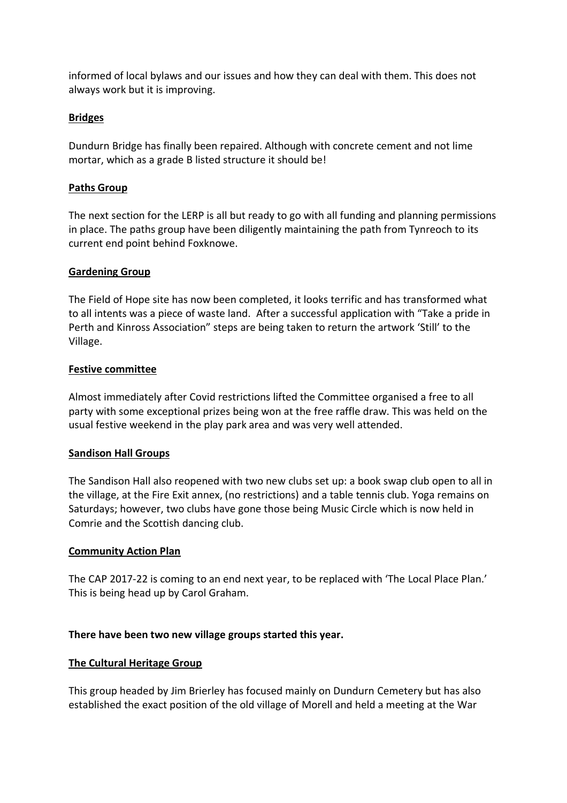informed of local bylaws and our issues and how they can deal with them. This does not always work but it is improving.

## **Bridges**

Dundurn Bridge has finally been repaired. Although with concrete cement and not lime mortar, which as a grade B listed structure it should be!

## **Paths Group**

The next section for the LERP is all but ready to go with all funding and planning permissions in place. The paths group have been diligently maintaining the path from Tynreoch to its current end point behind Foxknowe.

#### **Gardening Group**

The Field of Hope site has now been completed, it looks terrific and has transformed what to all intents was a piece of waste land. After a successful application with "Take a pride in Perth and Kinross Association" steps are being taken to return the artwork 'Still' to the Village.

#### **Festive committee**

Almost immediately after Covid restrictions lifted the Committee organised a free to all party with some exceptional prizes being won at the free raffle draw. This was held on the usual festive weekend in the play park area and was very well attended.

#### **Sandison Hall Groups**

The Sandison Hall also reopened with two new clubs set up: a book swap club open to all in the village, at the Fire Exit annex, (no restrictions) and a table tennis club. Yoga remains on Saturdays; however, two clubs have gone those being Music Circle which is now held in Comrie and the Scottish dancing club.

#### **Community Action Plan**

The CAP 2017-22 is coming to an end next year, to be replaced with 'The Local Place Plan.' This is being head up by Carol Graham.

#### **There have been two new village groups started this year.**

#### **The Cultural Heritage Group**

This group headed by Jim Brierley has focused mainly on Dundurn Cemetery but has also established the exact position of the old village of Morell and held a meeting at the War